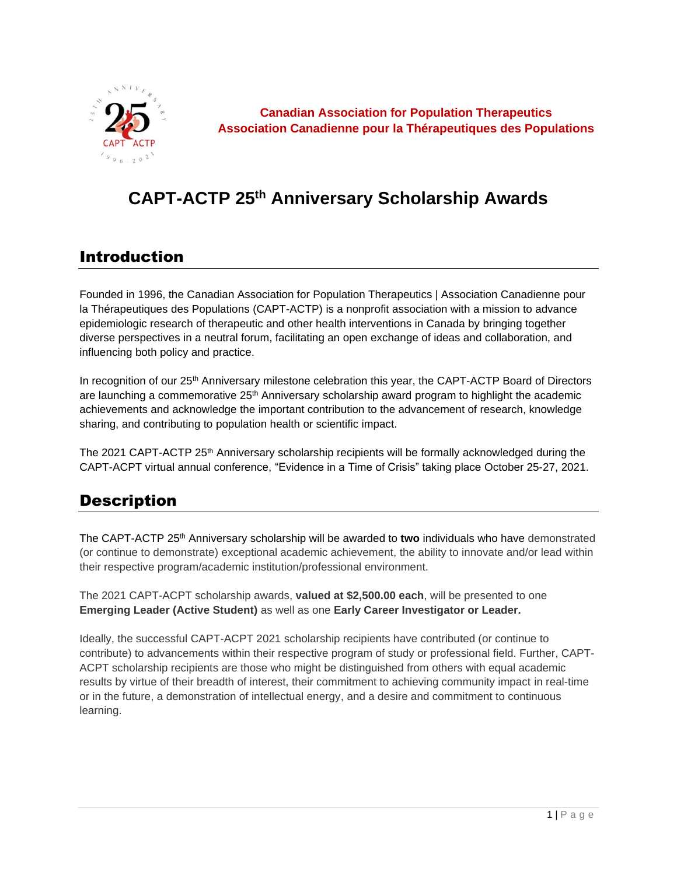

**Canadian Association for Population Therapeutics Association Canadienne pour la Thérapeutiques des Populations**

# **CAPT-ACTP 25th Anniversary Scholarship Awards**

#### Introduction

Founded in 1996, the Canadian Association for Population Therapeutics | Association Canadienne pour la Thérapeutiques des Populations (CAPT-ACTP) is a nonprofit association with a mission to advance epidemiologic research of therapeutic and other health interventions in Canada by bringing together diverse perspectives in a neutral forum, facilitating an open exchange of ideas and collaboration, and influencing both policy and practice.

In recognition of our 25<sup>th</sup> Anniversary milestone celebration this year, the CAPT-ACTP Board of Directors are launching a commemorative  $25<sup>th</sup>$  Anniversary scholarship award program to highlight the academic achievements and acknowledge the important contribution to the advancement of research, knowledge sharing, and contributing to population health or scientific impact.

The 2021 CAPT-ACTP 25<sup>th</sup> Anniversary scholarship recipients will be formally acknowledged during the CAPT-ACPT virtual annual conference, "Evidence in a Time of Crisis" taking place October 25-27, 2021.

## **Description**

The CAPT-ACTP 25th Anniversary scholarship will be awarded to **two** individuals who have demonstrated (or continue to demonstrate) exceptional academic achievement, the ability to innovate and/or lead within their respective program/academic institution/professional environment.

The 2021 CAPT-ACPT scholarship awards, **valued at \$2,500.00 each**, will be presented to one **Emerging Leader (Active Student)** as well as one **Early Career Investigator or Leader.** 

Ideally, the successful CAPT-ACPT 2021 scholarship recipients have contributed (or continue to contribute) to advancements within their respective program of study or professional field. Further, CAPT-ACPT scholarship recipients are those who might be distinguished from others with equal academic results by virtue of their breadth of interest, their commitment to achieving community impact in real-time or in the future, a demonstration of intellectual energy, and a desire and commitment to continuous learning.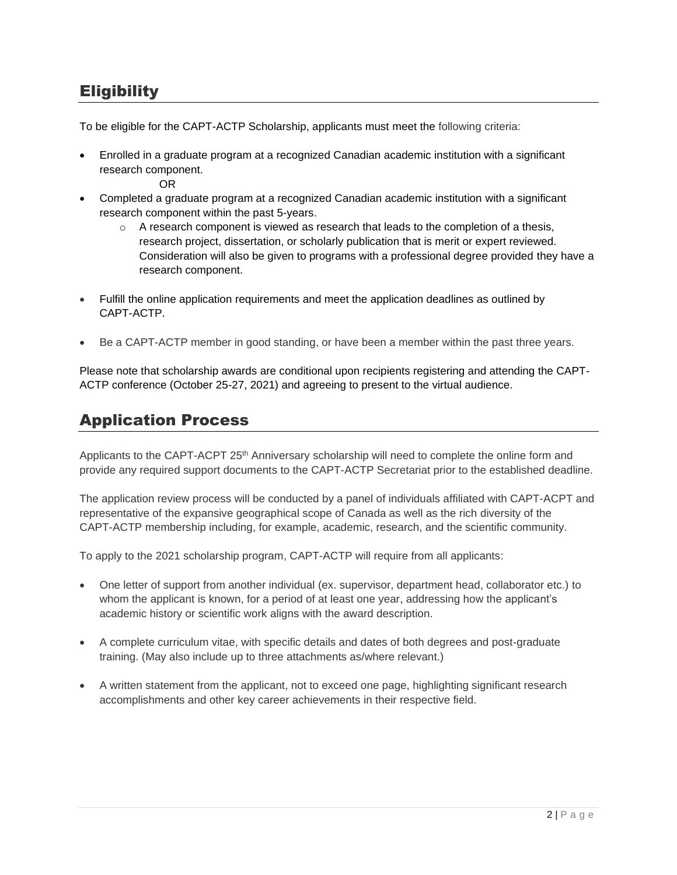## **Eligibility**

To be eligible for the CAPT-ACTP Scholarship, applicants must meet the following criteria:

• Enrolled in a graduate program at a recognized Canadian academic institution with a significant research component.

OR

- Completed a graduate program at a recognized Canadian academic institution with a significant research component within the past 5-years.
	- $\circ$  A research component is viewed as research that leads to the completion of a thesis, research project, dissertation, or scholarly publication that is merit or expert reviewed. Consideration will also be given to programs with a professional degree provided they have a research component.
- Fulfill the online application requirements and meet the application deadlines as outlined by CAPT-ACTP.
- Be a CAPT-ACTP member in good standing, or have been a member within the past three years.

Please note that scholarship awards are conditional upon recipients registering and attending the CAPT-ACTP conference (October 25-27, 2021) and agreeing to present to the virtual audience.

### Application Process

Applicants to the CAPT-ACPT 25<sup>th</sup> Anniversary scholarship will need to complete the online form and provide any required support documents to the CAPT-ACTP Secretariat prior to the established deadline.

The application review process will be conducted by a panel of individuals affiliated with CAPT-ACPT and representative of the expansive geographical scope of Canada as well as the rich diversity of the CAPT-ACTP membership including, for example, academic, research, and the scientific community.

To apply to the 2021 scholarship program, CAPT-ACTP will require from all applicants:

- One letter of support from another individual (ex. supervisor, department head, collaborator etc.) to whom the applicant is known, for a period of at least one year, addressing how the applicant's academic history or scientific work aligns with the award description.
- A complete curriculum vitae, with specific details and dates of both degrees and post-graduate training. (May also include up to three attachments as/where relevant.)
- A written statement from the applicant, not to exceed one page, highlighting significant research accomplishments and other key career achievements in their respective field.